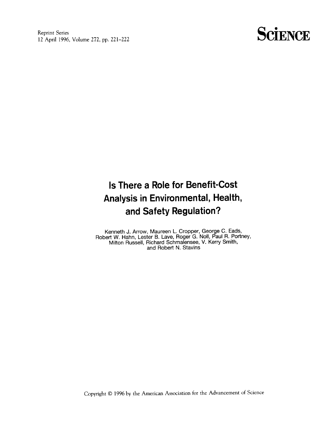Reprint Series 12 April 1996, Volume 272, pp. 221-222

## **SCIENCE**

## Is There a Role for Benefit-Cost Analysis in Environmental, Health, and Safety Regulation?

Kenneth J. Arrow, Maureen L. Cropper, George C. Eads, Robert W. Hahn, Lester B. Lave, Roger G. No11, Paul R. Portney, Milton Russell, Richard Schmalensee, V. Kerry Smith, and Robert N. Stavins

Copyright @ 1996 by the American Association for the Advancement of Science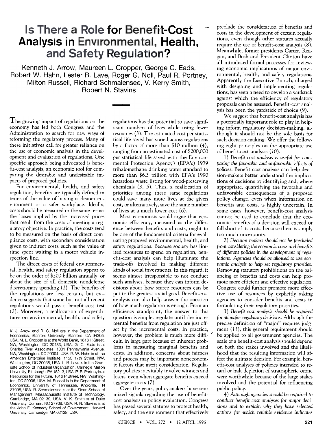## .. I' .  $\mathbf{m}$  and  $\mathbf{m}$  and  $\mathbf{m}$  and  $\mathbf{m}$ and Safety Regulation?

Kenneth J. Arrow, Maureen L. Cropper, George C. Eads, Robert W. Hahn, Lester B. Lave, Roger G. No11, Paul R. Portney, Milton Russell, Richard Schmalensee, V. Kerry Smith, Robert N. Stavins

The growing impact of regulations on the economy has led both Congress and the Administration to search for new ways of reforming the regulatory process. Many of these initiatives call for greater reliance on the use of economic analysis in the development and evaluation of regulations. One specific approach being advocated is benefit-cost analysis, an economic tool for comparing the desirable and undesirable impacts of proposed policies.

For environmental, health, and safety regulation, benefits are typically defined in terms of the value of having a cleaner environment or a safer workplace. Ideally, costs should be measured in the same terms: the losses implied by the increased prices that result from the costs of meeting a regulatory objective. In practice, the costs tend to be measured on the basis of direct compliance costs, with secondary consideration given to indirect costs, such as the value of time spent waiting in a motor vehicle inspection line.

The direct costs of federal environmental, health, and safety regulation appear to be on the order of \$200 billion annually, or about the size of all domestic nondefense discretionary spending  $(1)$ . The benefits of the regulations are less certain, but evidence suggests that some but not all recent regulations would pass a benefit-cost test (2). Moreover, a reallocation of expenditures on environmental, health, and safety

regulations has the potential to save significant numbers of lives while using fewer resources (3). The estimated cost per statistical life saved has varied across regulations by a factor of more than \$10 million (4), ranging from an estimated cost of \$200,000 per statistical life saved with the Environmental Protection Agency's (EPA's) 1979 trihalomethane drinking water standard to more than \$6.3 trillion with EPA's 1990 hazardous waste listing for wood-preserving chemicals (3, 5). Thus, a reallocation of priorities among these same regulations could save many more lives at the given cost, or alternatively, save the same number of lives at a much lower cost (6).

Most economists would argue that economic efficiency, measured as the difference between benefits and costs, ought to be one of the fundamental criteria for evaluating proposed environmental, health, and safety regulations. Because society has limited resources to spend on regulation, benefit-cost analysis can help illuminate the trade-offs involved in making different kinds of social investments. In this regard, it seems almost irresponsible to not conduct such analyses, because they can inform decisions about how scarce resources can be put to the greatest social good. Benefit-cost analysis can also help answer the question of how much regulation is enough. From an efficiency standpoint, the answer to this question is simple: regulate until the incremental benefits from regulation are just offset by the incremental costs. In practice, however, the problem is much more difficult, in large part because of inherent problems in measuring marginal benefits and costs. In addition, concerns about fairness and process may be important noneconomic factors that merit consideration. Regulatory policies inevitably involve winners and losers, even when aggregate benefits exceed aggregate costs (7).

Over the years, policy-makers have sent mixed signals regarding the use of benefitcost analysis in policy evaluation. Congress has passed several statutes to protect health, safety, and the environment that effectively preclude the consideration of benefits and costs in the development of certain regulations, even though other statutes actually require the use of benefit-cost analysis (8). Meanwhile, former presidents Carter, Reagan, and Bush and President Clinton have all introduced formal processes for reviewing economic implications of major environmental, health, and safety regulations. Apparently the Executive Branch, charged with designing and implementing regulations, has seen a need to develop a yardstick against which the efficiency of regulatory proposals can be assessed. Benefit-cost analysis has been the yardstick of choice (9).

We suggest that benefit-cost analysis has a potentially important role to play in helping inform regulatory decision-making, although it should not be the sole basis for such decision-making. We offer the following eight principles on the appropriate use of benefit-cost analysis (10).

1) Benefit-cost analysis is useful for comparing the favorable and unfavorable effects of policies. Benefit-cost analysis can help decision-makers better understand the implications of decisions by identifying and, where appropriate, quantifying the favorable and unfavorable consequences of a proposed policy change, even when information on benefits and costs, is highly uncertain. In some cases, however, benefit-cost analysis cannot be used to conclude that the economic benefits of a decision will exceed or fall short of its costs, because there is simply too much uncertainty.

2) Decision-makers should not be precluded from considering the economic costs and benefits of different policies in the development of regulations. Agencies should be allowed to use economic analysis to help set regulatory priorities. Removing statutory prohibitions on the balancing of benefits and costs can help promote more efficient and effective regulation. Congress could further promote more effective use of resources by explicitly asking agencies to consider benefits and costs in formulating their regulatory priorities.

3) Benefit-cost analysis should be required for all major regulatory decisions. Although the precise definition of "major" requires judgment  $(11)$ , this general requirement should .be applied to all government agencies. The scale of a benefit-cost analysis should depend on both the stakes involved and the likelihood that the resulting information will affect the ultimate decision. For example, benefit-cost analyses of policies intended to retard or halt depletion of stratospheric ozone were worthwhile because of the large stakes involved and the potential for influencing public policy.

4) Although agencies should be required to conduct benefit-cost analyses for major decisions and to explain why they have selected actions for which reliable evidence indicates

K. J. Arrow and R. G. Noll are in the Department of Economics, Stanford University, Stanford, CA 94305, USA. M. L. Cropper is at the World Bank, 1818 H Street, NW, Washington, DC 20433, USA. G. C. Eads is at Charles River Associates, 1001 Pennsylvania Avenue, NW, Washington, DC 20004, USA. R. W. Hahn is at the American Enterprise Institute, 1150 17th Street, NW, Washington, DC 20036, USA. L. B. Lave is in the Graduate School of Industrial Organization, Carnegie Mellon University, Pittsburgh, PA 15213, USA. P. R. Portney is at Resources for the Future, 1616 P Street, NW, Washington, DC 20036, USA. M. Russell is in the Department of Economics, University of Tennessee, Knoxville, TN 37996, USA. R. Schmalensee is at the Sloan School of Management, Massachusetts Institute of Technology, Cambridge, MA 02139, USA. V. K. Smith is at Duke University, Durham, NC 27708, USA. R. N. Stavins is at the John F. Kennedy School of Government, Harvard University, Cambridge, MA 02138, USA.